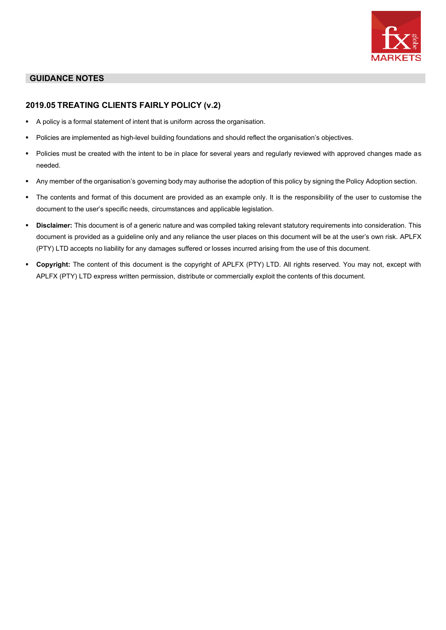

# **GUIDANCE NOTES**

# **2019.05 TREATING CLIENTS FAIRLY POLICY (v.2)**

- A policy is a formal statement of intent that is uniform across the organisation.
- Policies are implemented as high-level building foundations and should reflect the organisation's objectives.
- Policies must be created with the intent to be in place for several years and regularly reviewed with approved changes made as needed.
- Any member of the organisation's governing body may authorise the adoption of this policy by signing the Policy Adoption section.
- The contents and format of this document are provided as an example only. It is the responsibility of the user to customise the document to the user's specific needs, circumstances and applicable legislation.
- **Disclaimer:** This document is of a generic nature and was compiled taking relevant statutory requirements into consideration. This document is provided as a guideline only and any reliance the user places on this document will be at the user's own risk. APLFX (PTY) LTD accepts no liability for any damages suffered or losses incurred arising from the use of this document.
- **Copyright:** The content of this document is the copyright of APLFX (PTY) LTD. All rights reserved. You may not, except with APLFX (PTY) LTD express written permission, distribute or commercially exploit the contents of this document.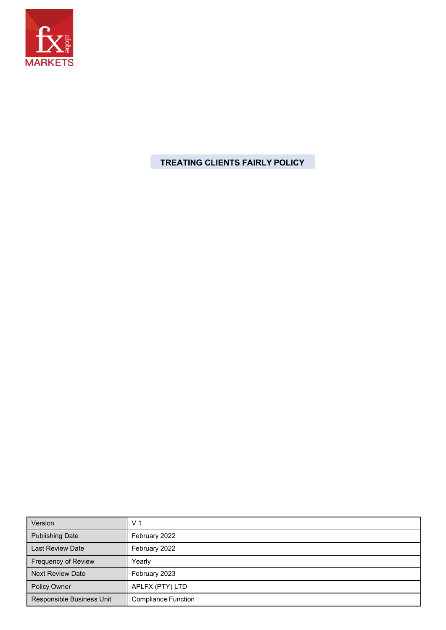

**TREATING CLIENTS FAIRLY POLICY**

| Version                   | V.1                        |
|---------------------------|----------------------------|
| <b>Publishing Date</b>    | February 2022              |
| <b>Last Review Date</b>   | February 2022              |
| Frequency of Review       | Yearly                     |
| <b>Next Review Date</b>   | February 2023              |
| <b>Policy Owner</b>       | APLFX (PTY) LTD            |
| Responsible Business Unit | <b>Compliance Function</b> |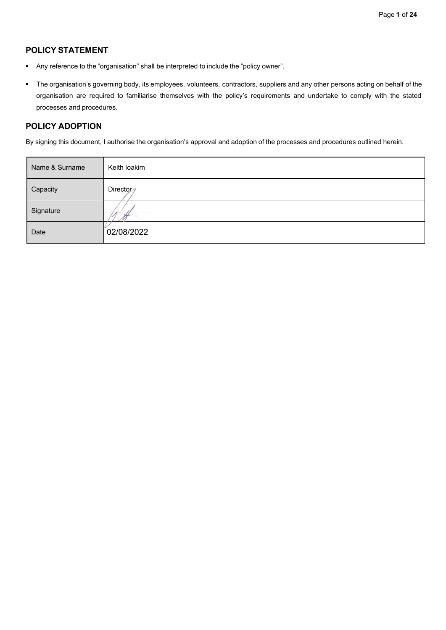# **POLICY STATEMENT**

- Any reference to the "organisation" shall be interpreted to include the "policy owner".
- The organisation's governing body, its employees, volunteers, contractors, suppliers and any other persons acting on behalf of the organisation are required to familiarise themselves with the policy's requirements and undertake to comply with the stated processes and procedures.

### **POLICY ADOPTION**

By signing this document, I authorise the organisation's approval and adoption of the processes and procedures outlined herein.

| Name & Surname | Keith loakim |
|----------------|--------------|
| Capacity       | Director     |
| Signature      |              |
| Date           | 02/08/2022   |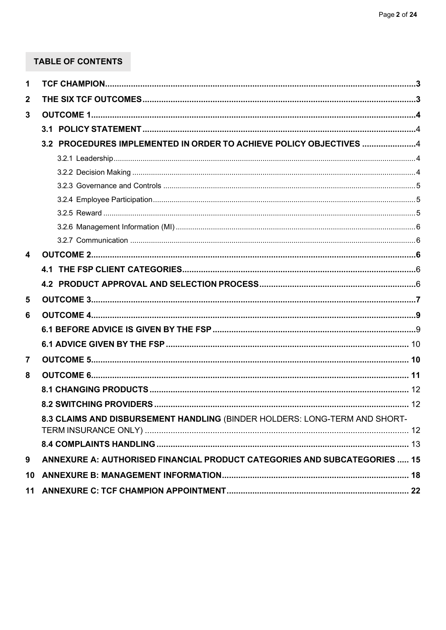# TABLE OF CONTENTS

| 1                       |                                                                            |  |
|-------------------------|----------------------------------------------------------------------------|--|
| $\mathbf 2$             |                                                                            |  |
| 3                       |                                                                            |  |
|                         |                                                                            |  |
|                         | 3.2 PROCEDURES IMPLEMENTED IN ORDER TO ACHIEVE POLICY OBJECTIVES 4         |  |
|                         |                                                                            |  |
|                         |                                                                            |  |
|                         |                                                                            |  |
|                         |                                                                            |  |
|                         |                                                                            |  |
|                         |                                                                            |  |
|                         |                                                                            |  |
| $\overline{\mathbf{4}}$ |                                                                            |  |
|                         |                                                                            |  |
|                         |                                                                            |  |
| 5                       |                                                                            |  |
| 6                       |                                                                            |  |
|                         |                                                                            |  |
|                         |                                                                            |  |
| $\overline{7}$          |                                                                            |  |
| 8                       |                                                                            |  |
|                         |                                                                            |  |
|                         |                                                                            |  |
|                         | 8.3 CLAIMS AND DISBURSEMENT HANDLING (BINDER HOLDERS: LONG-TERM AND SHORT- |  |
|                         |                                                                            |  |
|                         |                                                                            |  |
| 9                       | ANNEXURE A: AUTHORISED FINANCIAL PRODUCT CATEGORIES AND SUBCATEGORIES  15  |  |
| 10                      |                                                                            |  |
| 11                      |                                                                            |  |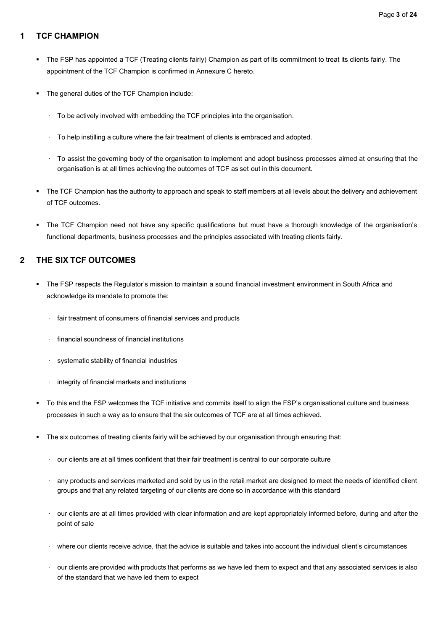### <span id="page-4-0"></span>**1 TCF CHAMPION**

- The FSP has appointed a TCF (Treating clients fairly) Champion as part of its commitment to treat its clients fairly. The appointment of the TCF Champion is confirmed in Annexure C hereto.
- The general duties of the TCF Champion include:
	- · To be actively involved with embedding the TCF principles into the organisation.
	- · To help instilling a culture where the fair treatment of clients is embraced and adopted.
	- · To assist the governing body of the organisation to implement and adopt business processes aimed at ensuring that the organisation is at all times achieving the outcomes of TCF as set out in this document.
- The TCF Champion has the authority to approach and speak to staff members at all levels about the delivery and achievement of TCF outcomes.
- The TCF Champion need not have any specific qualifications but must have a thorough knowledge of the organisation's functional departments, business processes and the principles associated with treating clients fairly.

# <span id="page-4-1"></span>**2 THE SIX TCF OUTCOMES**

- The FSP respects the Regulator's mission to maintain a sound financial investment environment in South Africa and acknowledge its mandate to promote the:
	- fair treatment of consumers of financial services and products
	- · financial soundness of financial institutions
	- systematic stability of financial industries
	- integrity of financial markets and institutions
- To this end the FSP welcomes the TCF initiative and commits itself to align the FSP's organisational culture and business processes in such a way as to ensure that the six outcomes of TCF are at all times achieved.
- The six outcomes of treating clients fairly will be achieved by our organisation through ensuring that:
	- · our clients are at all times confident that their fair treatment is central to our corporate culture
	- any products and services marketed and sold by us in the retail market are designed to meet the needs of identified client groups and that any related targeting of our clients are done so in accordance with this standard
	- · our clients are at all times provided with clear information and are kept appropriately informed before, during and after the point of sale
	- · where our clients receive advice, that the advice is suitable and takes into account the individual client's circumstances
	- · our clients are provided with products that performs as we have led them to expect and that any associated services is also of the standard that we have led them to expect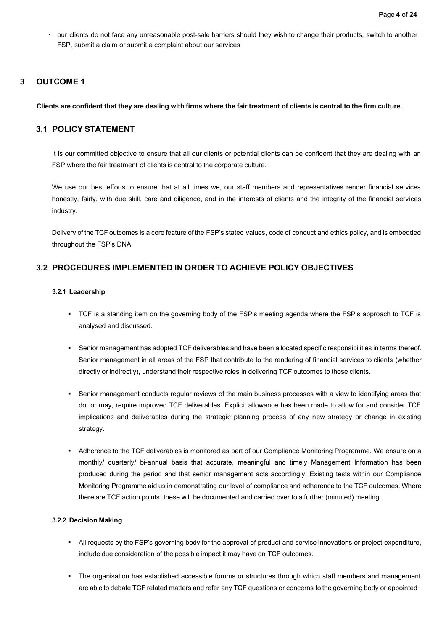our clients do not face any unreasonable post-sale barriers should they wish to change their products, switch to another FSP, submit a claim or submit a complaint about our services

### <span id="page-5-0"></span>**3 OUTCOME 1**

Clients are confident that they are dealing with firms where the fair treatment of clients is central to the firm culture.

# <span id="page-5-1"></span>**3.1 POLICY STATEMENT**

It is our committed objective to ensure that all our clients or potential clients can be confident that they are dealing with an FSP where the fair treatment of clients is central to the corporate culture.

We use our best efforts to ensure that at all times we, our staff members and representatives render financial services honestly, fairly, with due skill, care and diligence, and in the interests of clients and the integrity of the financial services industry.

Delivery of the TCF outcomes is a core feature of the FSP's stated values, code of conduct and ethics policy, and is embedded throughout the FSP's DNA

# <span id="page-5-3"></span><span id="page-5-2"></span>**3.2 PROCEDURES IMPLEMENTED IN ORDER TO ACHIEVE POLICY OBJECTIVES**

#### **3.2.1 Leadership**

- TCF is a standing item on the governing body of the FSP's meeting agenda where the FSP's approach to TCF is analysed and discussed.
- Senior management has adopted TCF deliverables and have been allocated specific responsibilities in terms thereof. Senior management in all areas of the FSP that contribute to the rendering of financial services to clients (whether directly or indirectly), understand their respective roles in delivering TCF outcomes to those clients.
- Senior management conducts regular reviews of the main business processes with a view to identifying areas that do, or may, require improved TCF deliverables. Explicit allowance has been made to allow for and consider TCF implications and deliverables during the strategic planning process of any new strategy or change in existing strategy.
- Adherence to the TCF deliverables is monitored as part of our Compliance Monitoring Programme. We ensure on a monthly/ quarterly/ bi-annual basis that accurate, meaningful and timely Management Information has been produced during the period and that senior management acts accordingly. Existing tests within our Compliance Monitoring Programme aid us in demonstrating our level of compliance and adherence to the TCF outcomes. Where there are TCF action points, these will be documented and carried over to a further (minuted) meeting.

#### <span id="page-5-4"></span>**3.2.2 Decision Making**

- All requests by the FSP's governing body for the approval of product and service innovations or project expenditure, include due consideration of the possible impact it may have on TCF outcomes.
- The organisation has established accessible forums or structures through which staff members and management are able to debate TCF related matters and refer any TCF questions or concerns to the governing body or appointed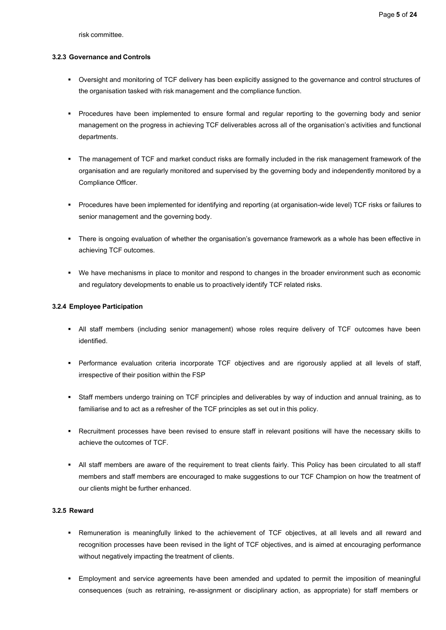risk committee.

#### <span id="page-6-0"></span>**3.2.3 Governance and Controls**

- Oversight and monitoring of TCF delivery has been explicitly assigned to the governance and control structures of the organisation tasked with risk management and the compliance function.
- Procedures have been implemented to ensure formal and regular reporting to the governing body and senior management on the progress in achieving TCF deliverables across all of the organisation's activities and functional departments.
- The management of TCF and market conduct risks are formally included in the risk management framework of the organisation and are regularly monitored and supervised by the governing body and independently monitored by a Compliance Officer.
- Procedures have been implemented for identifying and reporting (at organisation-wide level) TCF risks or failures to senior management and the governing body.
- There is ongoing evaluation of whether the organisation's governance framework as a whole has been effective in achieving TCF outcomes.
- We have mechanisms in place to monitor and respond to changes in the broader environment such as economic and regulatory developments to enable us to proactively identify TCF related risks.

#### <span id="page-6-1"></span>**3.2.4 Employee Participation**

- **■** All staff members (including senior management) whose roles require delivery of TCF outcomes have been identified.
- Performance evaluation criteria incorporate TCF objectives and are rigorously applied at all levels of staff, irrespective of their position within the FSP
- Staff members undergo training on TCF principles and deliverables by way of induction and annual training, as to familiarise and to act as a refresher of the TCF principles as set out in this policy.
- Recruitment processes have been revised to ensure staff in relevant positions will have the necessary skills to achieve the outcomes of TCF.
- All staff members are aware of the requirement to treat clients fairly. This Policy has been circulated to all staff members and staff members are encouraged to make suggestions to our TCF Champion on how the treatment of our clients might be further enhanced.

#### <span id="page-6-2"></span>**3.2.5 Reward**

- Remuneration is meaningfully linked to the achievement of TCF objectives, at all levels and all reward and recognition processes have been revised in the light of TCF objectives, and is aimed at encouraging performance without negatively impacting the treatment of clients.
- **Employment and service agreements have been amended and updated to permit the imposition of meaningful** consequences (such as retraining, re-assignment or disciplinary action, as appropriate) for staff members or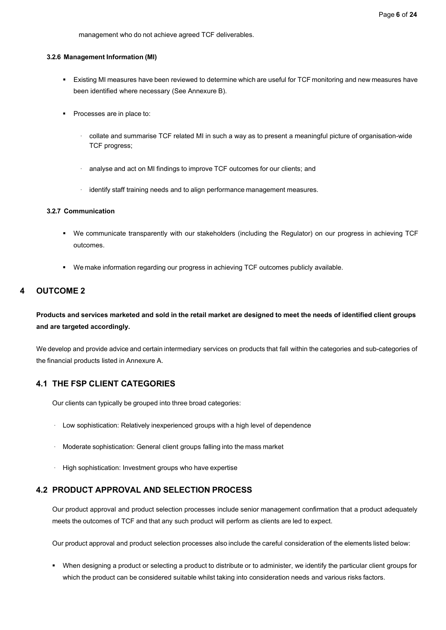management who do not achieve agreed TCF deliverables.

#### <span id="page-7-0"></span>**3.2.6 Management Information (MI)**

- Existing MI measures have been reviewed to determine which are useful for TCF monitoring and new measures have been identified where necessary (See Annexure B).
- Processes are in place to:
	- · collate and summarise TCF related MI in such a way as to present a meaningful picture of organisation-wide TCF progress;
	- · analyse and act on MI findings to improve TCF outcomes for our clients; and
	- · identify staff training needs and to align performance management measures.

#### <span id="page-7-1"></span>**3.2.7 Communication**

- We communicate transparently with our stakeholders (including the Regulator) on our progress in achieving TCF outcomes.
- We make information regarding our progress in achieving TCF outcomes publicly available.

### <span id="page-7-2"></span>**4 OUTCOME 2**

# Products and services marketed and sold in the retail market are designed to meet the needs of identified client groups **and are targeted accordingly.**

We develop and provide advice and certain intermediary services on products that fall within the categories and sub-categories of the financial products listed in Annexure A.

## <span id="page-7-3"></span>**4.1 THE FSP CLIENT CATEGORIES**

Our clients can typically be grouped into three broad categories:

- · Low sophistication: Relatively inexperienced groups with a high level of dependence
- · Moderate sophistication: General client groups falling into the mass market
- High sophistication: Investment groups who have expertise

# <span id="page-7-4"></span>**4.2 PRODUCT APPROVAL AND SELECTION PROCESS**

Our product approval and product selection processes include senior management confirmation that a product adequately meets the outcomes of TCF and that any such product will perform as clients are led to expect.

Our product approval and product selection processes also include the careful consideration of the elements listed below:

▪ When designing a product or selecting a product to distribute or to administer, we identify the particular client groups for which the product can be considered suitable whilst taking into consideration needs and various risks factors.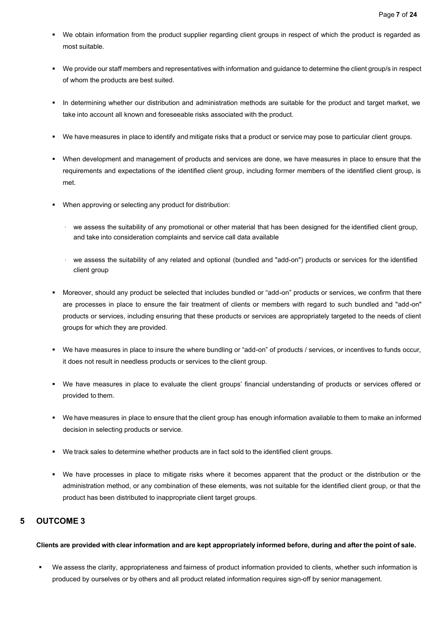- We obtain information from the product supplier regarding client groups in respect of which the product is regarded as most suitable.
- We provide our staff members and representatives with information and guidance to determine the client group/s in respect of whom the products are best suited.
- In determining whether our distribution and administration methods are suitable for the product and target market, we take into account all known and foreseeable risks associated with the product.
- We have measures in place to identify and mitigate risks that a product or service may pose to particular client groups.
- When development and management of products and services are done, we have measures in place to ensure that the requirements and expectations of the identified client group, including former members of the identified client group, is met.
- When approving or selecting any product for distribution:
	- · we assess the suitability of any promotional or other material that has been designed for the identified client group, and take into consideration complaints and service call data available
	- we assess the suitability of any related and optional (bundled and "add-on") products or services for the identified client group
- Moreover, should any product be selected that includes bundled or "add-on" products or services, we confirm that there are processes in place to ensure the fair treatment of clients or members with regard to such bundled and "add-on" products or services, including ensuring that these products or services are appropriately targeted to the needs of client groups for which they are provided.
- We have measures in place to insure the where bundling or "add-on" of products / services, or incentives to funds occur, it does not result in needless products or services to the client group.
- We have measures in place to evaluate the client groups' financial understanding of products or services offered or provided to them.
- We have measures in place to ensure that the client group has enough information available to them to make an informed decision in selecting products or service.
- We track sales to determine whether products are in fact sold to the identified client groups.
- We have processes in place to mitigate risks where it becomes apparent that the product or the distribution or the administration method, or any combination of these elements, was not suitable for the identified client group, or that the product has been distributed to inappropriate client target groups.

# <span id="page-8-0"></span>**5 OUTCOME 3**

#### Clients are provided with clear information and are kept appropriately informed before, during and after the point of sale.

▪ We assess the clarity, appropriateness and fairness of product information provided to clients, whether such information is produced by ourselves or by others and all product related information requires sign-off by senior management.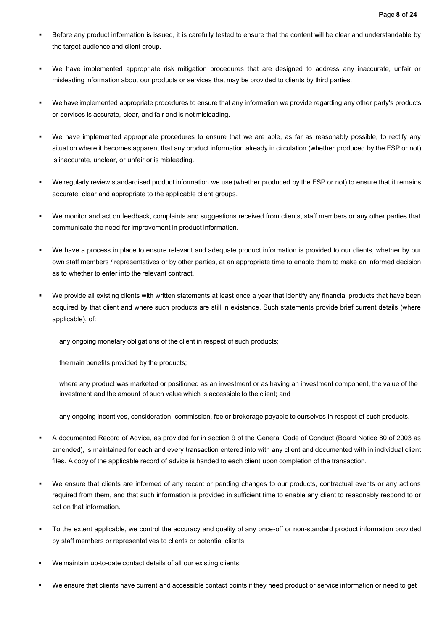- Before any product information is issued, it is carefully tested to ensure that the content will be clear and understandable by the target audience and client group.
- We have implemented appropriate risk mitigation procedures that are designed to address any inaccurate, unfair or misleading information about our products or services that may be provided to clients by third parties.
- We have implemented appropriate procedures to ensure that any information we provide regarding any other party's products or services is accurate, clear, and fair and is not misleading.
- We have implemented appropriate procedures to ensure that we are able, as far as reasonably possible, to rectify any situation where it becomes apparent that any product information already in circulation (whether produced by the FSP or not) is inaccurate, unclear, or unfair or is misleading.
- We regularly review standardised product information we use (whether produced by the FSP or not) to ensure that it remains accurate, clear and appropriate to the applicable client groups.
- We monitor and act on feedback, complaints and suggestions received from clients, staff members or any other parties that communicate the need for improvement in product information.
- We have a process in place to ensure relevant and adequate product information is provided to our clients, whether by our own staff members / representatives or by other parties, at an appropriate time to enable them to make an informed decision as to whether to enter into the relevant contract.
- We provide all existing clients with written statements at least once a year that identify any financial products that have been acquired by that client and where such products are still in existence. Such statements provide brief current details (where applicable), of:
	- · any ongoing monetary obligations of the client in respect of such products;
	- · the main benefits provided by the products;
	- · where any product was marketed or positioned as an investment or as having an investment component, the value of the investment and the amount of such value which is accessible to the client; and
	- · any ongoing incentives, consideration, commission, fee or brokerage payable to ourselves in respect of such products.
- A documented Record of Advice, as provided for in section 9 of the General Code of Conduct (Board Notice 80 of 2003 as amended), is maintained for each and every transaction entered into with any client and documented with in individual client files. A copy of the applicable record of advice is handed to each client upon completion of the transaction.
- We ensure that clients are informed of any recent or pending changes to our products, contractual events or any actions required from them, and that such information is provided in sufficient time to enable any client to reasonably respond to or act on that information.
- To the extent applicable, we control the accuracy and quality of any once-off or non-standard product information provided by staff members or representatives to clients or potential clients.
- We maintain up-to-date contact details of all our existing clients.
- We ensure that clients have current and accessible contact points if they need product or service information or need to get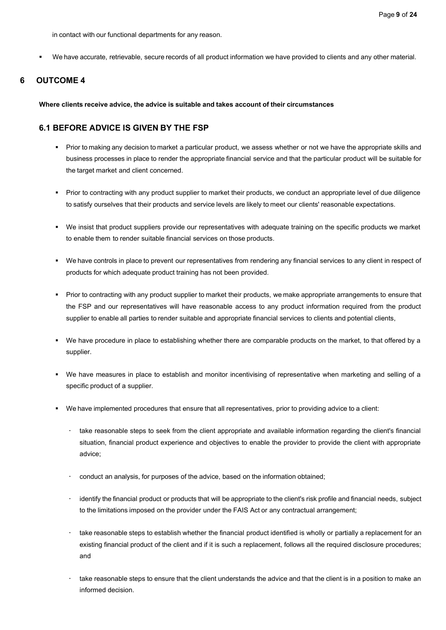in contact with our functional departments for any reason.

We have accurate, retrievable, secure records of all product information we have provided to clients and any other material.

# <span id="page-10-0"></span>**6 OUTCOME 4**

**Where clients receive advice, the advice is suitable and takes account of their circumstances**

# <span id="page-10-1"></span>**6.1 BEFORE ADVICE IS GIVEN BY THE FSP**

- Prior to making any decision to market a particular product, we assess whether or not we have the appropriate skills and business processes in place to render the appropriate financial service and that the particular product will be suitable for the target market and client concerned.
- Prior to contracting with any product supplier to market their products, we conduct an appropriate level of due diligence to satisfy ourselves that their products and service levels are likely to meet our clients' reasonable expectations.
- We insist that product suppliers provide our representatives with adequate training on the specific products we market to enable them to render suitable financial services on those products.
- We have controls in place to prevent our representatives from rendering any financial services to any client in respect of products for which adequate product training has not been provided.
- Prior to contracting with any product supplier to market their products, we make appropriate arrangements to ensure that the FSP and our representatives will have reasonable access to any product information required from the product supplier to enable all parties to render suitable and appropriate financial services to clients and potential clients,
- We have procedure in place to establishing whether there are comparable products on the market, to that offered by a supplier.
- We have measures in place to establish and monitor incentivising of representative when marketing and selling of a specific product of a supplier.
- We have implemented procedures that ensure that all representatives, prior to providing advice to a client:
	- take reasonable steps to seek from the client appropriate and available information regarding the client's financial situation, financial product experience and objectives to enable the provider to provide the client with appropriate advice;
	- conduct an analysis, for purposes of the advice, based on the information obtained;
	- identify the financial product or products that will be appropriate to the client's risk profile and financial needs, subject to the limitations imposed on the provider under the FAIS Act or any contractual arrangement;
	- take reasonable steps to establish whether the financial product identified is wholly or partially a replacement for an existing financial product of the client and if it is such a replacement, follows all the required disclosure procedures; and
	- take reasonable steps to ensure that the client understands the advice and that the client is in a position to make an informed decision.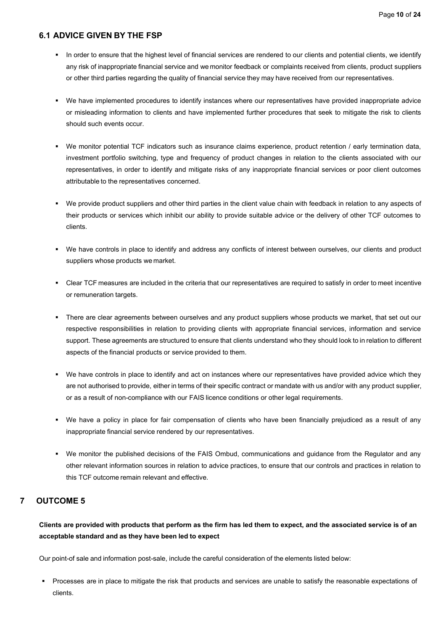#### <span id="page-11-0"></span>**6.1 ADVICE GIVEN BY THE FSP**

- In order to ensure that the highest level of financial services are rendered to our clients and potential clients, we identify any risk of inappropriate financial service and we monitor feedback or complaints received from clients, product suppliers or other third parties regarding the quality of financial service they may have received from our representatives.
- We have implemented procedures to identify instances where our representatives have provided inappropriate advice or misleading information to clients and have implemented further procedures that seek to mitigate the risk to clients should such events occur.
- We monitor potential TCF indicators such as insurance claims experience, product retention / early termination data, investment portfolio switching, type and frequency of product changes in relation to the clients associated with our representatives, in order to identify and mitigate risks of any inappropriate financial services or poor client outcomes attributable to the representatives concerned.
- We provide product suppliers and other third parties in the client value chain with feedback in relation to any aspects of their products or services which inhibit our ability to provide suitable advice or the delivery of other TCF outcomes to clients.
- We have controls in place to identify and address any conflicts of interest between ourselves, our clients and product suppliers whose products we market.
- Clear TCF measures are included in the criteria that our representatives are required to satisfy in order to meet incentive or remuneration targets.
- " There are clear agreements between ourselves and any product suppliers whose products we market, that set out our respective responsibilities in relation to providing clients with appropriate financial services, information and service support. These agreements are structured to ensure that clients understand who they should look to in relation to different aspects of the financial products or service provided to them.
- We have controls in place to identify and act on instances where our representatives have provided advice which they are not authorised to provide, either in terms of their specific contract or mandate with us and/or with any product supplier, or as a result of non-compliance with our FAIS licence conditions or other legal requirements.
- We have a policy in place for fair compensation of clients who have been financially prejudiced as a result of any inappropriate financial service rendered by our representatives.
- We monitor the published decisions of the FAIS Ombud, communications and guidance from the Regulator and any other relevant information sources in relation to advice practices, to ensure that our controls and practices in relation to this TCF outcome remain relevant and effective.

# <span id="page-11-1"></span>**7 OUTCOME 5**

**Clients are provided with products that perform as the firm has led them to expect, and the associated service is of an acceptable standard and as they have been led to expect**

Our point-of sale and information post-sale, include the careful consideration of the elements listed below:

Processes are in place to mitigate the risk that products and services are unable to satisfy the reasonable expectations of clients.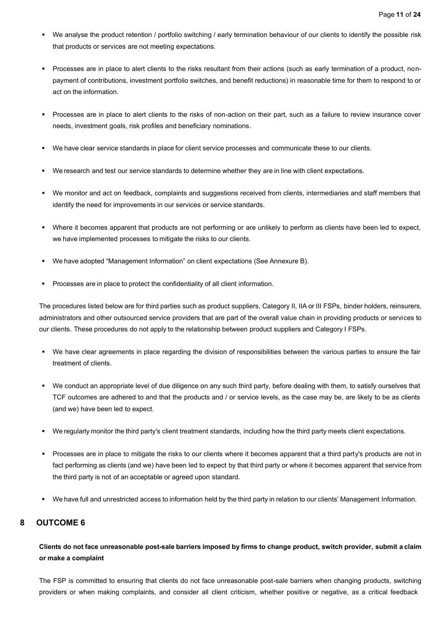- We analyse the product retention / portfolio switching / early termination behaviour of our clients to identify the possible risk that products or services are not meeting expectations.
- Processes are in place to alert clients to the risks resultant from their actions (such as early termination of a product, nonpayment of contributions, investment portfolio switches, and benefit reductions) in reasonable time for them to respond to or act on the information.
- Processes are in place to alert clients to the risks of non-action on their part, such as a failure to review insurance cover needs, investment goals, risk profiles and beneficiary nominations.
- We have clear service standards in place for client service processes and communicate these to our clients.
- We research and test our service standards to determine whether they are in line with client expectations.
- We monitor and act on feedback, complaints and suggestions received from clients, intermediaries and staff members that identify the need for improvements in our services or service standards.
- Where it becomes apparent that products are not performing or are unlikely to perform as clients have been led to expect, we have implemented processes to mitigate the risks to our clients.
- We have adopted "Management Information" on client expectations (See Annexure B).
- Processes are in place to protect the confidentiality of all client information.

The procedures listed below are for third parties such as product suppliers, Category II, IIA or III FSPs, binder holders, reinsurers, administrators and other outsourced service providers that are part of the overall value chain in providing products or services to our clients. These procedures do not apply to the relationship between product suppliers and Category I FSPs.

- We have clear agreements in place regarding the division of responsibilities between the various parties to ensure the fair treatment of clients.
- We conduct an appropriate level of due diligence on any such third party, before dealing with them, to satisfy ourselves that TCF outcomes are adhered to and that the products and / or service levels, as the case may be, are likely to be as clients (and we) have been led to expect.
- We regularly monitor the third party's client treatment standards, including how the third party meets client expectations.
- Processes are in place to mitigate the risks to our clients where it becomes apparent that a third party's products are not in fact performing as clients (and we) have been led to expect by that third party or where it becomes apparent that service from the third party is not of an acceptable or agreed upon standard.
- We have full and unrestricted access to information held by the third party in relation to our clients' Management Information.

### <span id="page-12-0"></span>**8 OUTCOME 6**

Clients do not face unreasonable post-sale barriers imposed by firms to change product, switch provider, submit a claim **or make a complaint**

The FSP is committed to ensuring that clients do not face unreasonable post-sale barriers when changing products, switching providers or when making complaints, and consider all client criticism, whether positive or negative, as a critical feedback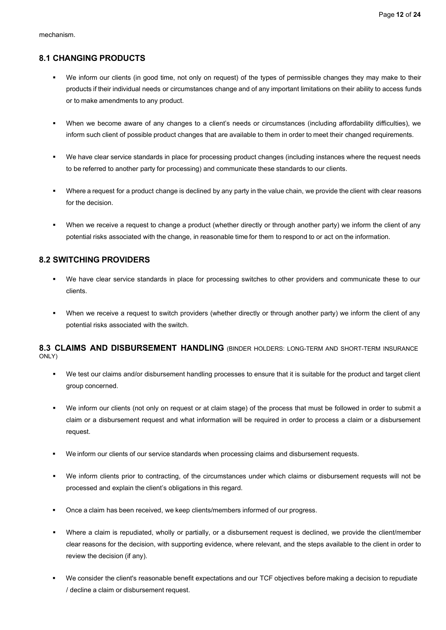### <span id="page-13-0"></span>**8.1 CHANGING PRODUCTS**

- We inform our clients (in good time, not only on request) of the types of permissible changes they may make to their products if their individual needs or circumstances change and of any important limitations on their ability to access funds or to make amendments to any product.
- When we become aware of any changes to a client's needs or circumstances (including affordability difficulties), we inform such client of possible product changes that are available to them in order to meet their changed requirements.
- We have clear service standards in place for processing product changes (including instances where the request needs to be referred to another party for processing) and communicate these standards to our clients.
- Where a request for a product change is declined by any party in the value chain, we provide the client with clear reasons for the decision.
- When we receive a request to change a product (whether directly or through another party) we inform the client of any potential risks associated with the change, in reasonable time for them to respond to or act on the information.

# <span id="page-13-1"></span>**8.2 SWITCHING PROVIDERS**

- We have clear service standards in place for processing switches to other providers and communicate these to our clients.
- When we receive a request to switch providers (whether directly or through another party) we inform the client of any potential risks associated with the switch.

<span id="page-13-2"></span>**8.3 CLAIMS AND DISBURSEMENT HANDLING** (BINDER HOLDERS: LONG-TERM AND SHORT-TERM INSURANCE ONLY)

- We test our claims and/or disbursement handling processes to ensure that it is suitable for the product and target client group concerned.
- We inform our clients (not only on request or at claim stage) of the process that must be followed in order to submit a claim or a disbursement request and what information will be required in order to process a claim or a disbursement request.
- We inform our clients of our service standards when processing claims and disbursement requests.
- We inform clients prior to contracting, of the circumstances under which claims or disbursement requests will not be processed and explain the client's obligations in this regard.
- Once a claim has been received, we keep clients/members informed of our progress.
- Where a claim is repudiated, wholly or partially, or a disbursement request is declined, we provide the client/member clear reasons for the decision, with supporting evidence, where relevant, and the steps available to the client in order to review the decision (if any).
- We consider the client's reasonable benefit expectations and our TCF objectives before making a decision to repudiate / decline a claim or disbursement request.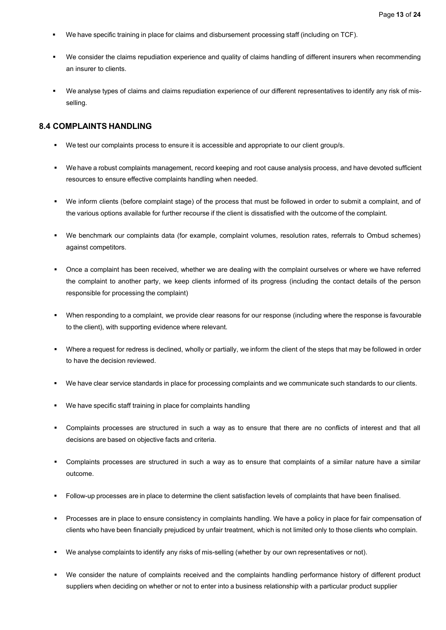- We have specific training in place for claims and disbursement processing staff (including on TCF).
- We consider the claims repudiation experience and quality of claims handling of different insurers when recommending an insurer to clients.
- We analyse types of claims and claims repudiation experience of our different representatives to identify any risk of misselling.

#### <span id="page-14-0"></span>**8.4 COMPLAINTS HANDLING**

- We test our complaints process to ensure it is accessible and appropriate to our client group/s.
- We have a robust complaints management, record keeping and root cause analysis process, and have devoted sufficient resources to ensure effective complaints handling when needed.
- We inform clients (before complaint stage) of the process that must be followed in order to submit a complaint, and of the various options available for further recourse if the client is dissatisfied with the outcome of the complaint.
- We benchmark our complaints data (for example, complaint volumes, resolution rates, referrals to Ombud schemes) against competitors.
- Once a complaint has been received, whether we are dealing with the complaint ourselves or where we have referred the complaint to another party, we keep clients informed of its progress (including the contact details of the person responsible for processing the complaint)
- When responding to a complaint, we provide clear reasons for our response (including where the response is favourable to the client), with supporting evidence where relevant.
- Where a request for redress is declined, wholly or partially, we inform the client of the steps that may be followed in order to have the decision reviewed.
- We have clear service standards in place for processing complaints and we communicate such standards to our clients.
- We have specific staff training in place for complaints handling
- Complaints processes are structured in such a way as to ensure that there are no conflicts of interest and that all decisions are based on objective facts and criteria.
- Complaints processes are structured in such a way as to ensure that complaints of a similar nature have a similar outcome.
- Follow-up processes are in place to determine the client satisfaction levels of complaints that have been finalised.
- Processes are in place to ensure consistency in complaints handling. We have a policy in place for fair compensation of clients who have been financially prejudiced by unfair treatment, which is not limited only to those clients who complain.
- We analyse complaints to identify any risks of mis-selling (whether by our own representatives or not).
- We consider the nature of complaints received and the complaints handling performance history of different product suppliers when deciding on whether or not to enter into a business relationship with a particular product supplier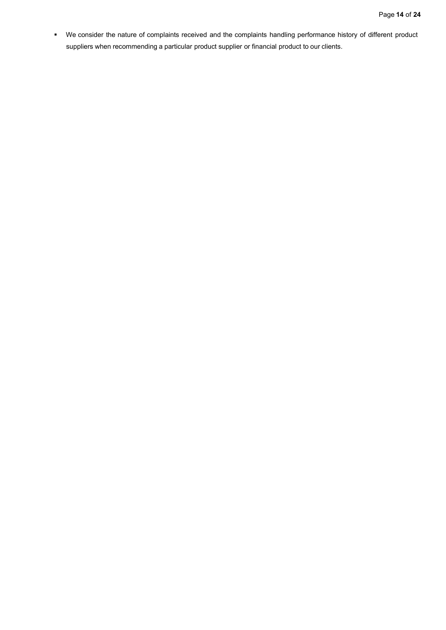▪ We consider the nature of complaints received and the complaints handling performance history of different product suppliers when recommending a particular product supplier or financial product to our clients.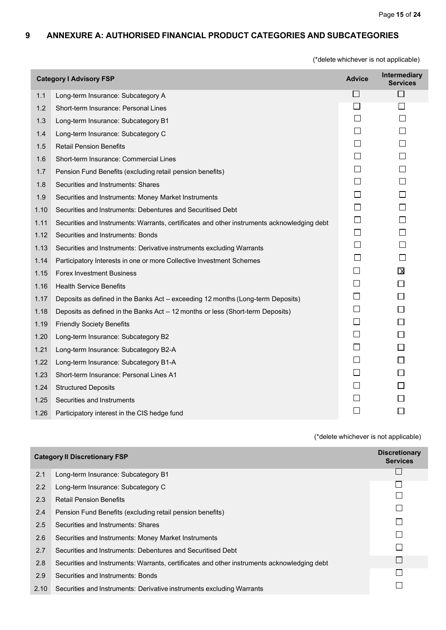## <span id="page-16-0"></span>**9 ANNEXURE A: AUTHORISED FINANCIAL PRODUCT CATEGORIES AND SUBCATEGORIES**

(\*delete whichever is not applicable)

| <b>Intermediary</b><br><b>Category I Advisory FSP</b><br><b>Advice</b><br><b>Services</b> |                                                                                             |              |              |
|-------------------------------------------------------------------------------------------|---------------------------------------------------------------------------------------------|--------------|--------------|
| 1.1                                                                                       | Long-term Insurance: Subcategory A                                                          | ப            | ⊔            |
| 1.2                                                                                       | Short-term Insurance: Personal Lines                                                        | $\Box$       | $\Box$       |
| 1.3                                                                                       | Long-term Insurance: Subcategory B1                                                         | $\mathsf{L}$ | $\Box$       |
| 1.4                                                                                       | Long-term Insurance: Subcategory C                                                          | $\Box$       | $\Box$       |
| 1.5                                                                                       | <b>Retail Pension Benefits</b>                                                              | П            | $\Box$       |
| 1.6                                                                                       | Short-term Insurance: Commercial Lines                                                      |              | $\Box$       |
| 1.7                                                                                       | Pension Fund Benefits (excluding retail pension benefits)                                   | $\Box$       | $\Box$       |
| 1.8                                                                                       | Securities and Instruments: Shares                                                          | $\perp$      | П            |
| 1.9                                                                                       | Securities and Instruments: Money Market Instruments                                        | $\mathsf{L}$ | $\Box$       |
| 1.10                                                                                      | Securities and Instruments: Debentures and Securitised Debt                                 | $\Box$       | $\Box$       |
| 1.11                                                                                      | Securities and Instruments: Warrants, certificates and other instruments acknowledging debt | $\Box$       | $\Box$       |
| 1.12                                                                                      | Securities and Instruments: Bonds                                                           | $\mathsf{L}$ | П            |
| 1.13                                                                                      | Securities and Instruments: Derivative instruments excluding Warrants                       | $\mathsf{L}$ | $\mathbf{L}$ |
| 1.14                                                                                      | Participatory Interests in one or more Collective Investment Schemes                        | П            | $\Box$       |
| 1.15                                                                                      | <b>Forex Investment Business</b>                                                            | $\mathsf{L}$ | $\boxtimes$  |
| 1.16                                                                                      | <b>Health Service Benefits</b>                                                              | $\Box$       | □            |
| 1.17                                                                                      | Deposits as defined in the Banks Act - exceeding 12 months (Long-term Deposits)             | ⊔            | $\Box$       |
| 1.18                                                                                      | Deposits as defined in the Banks Act - 12 months or less (Short-term Deposits)              | $\Box$       | $\Box$       |
| 1.19                                                                                      | <b>Friendly Society Benefits</b>                                                            | $\perp$      | П            |
| 1.20                                                                                      | Long-term Insurance: Subcategory B2                                                         | $\perp$      | □            |
| 1.21                                                                                      | Long-term Insurance: Subcategory B2-A                                                       | $\Box$       | $\Box$       |
| 1.22                                                                                      | Long-term Insurance: Subcategory B1-A                                                       | $\Box$       | $\Box$       |
| 1.23                                                                                      | Short-term Insurance: Personal Lines A1                                                     | $\Box$       | $\Box$       |
| 1.24                                                                                      | <b>Structured Deposits</b>                                                                  | $\perp$      | П            |
| 1.25                                                                                      | Securities and Instruments                                                                  | П            | П            |
| 1.26                                                                                      | Participatory interest in the CIS hedge fund                                                |              |              |

| <b>Category II Discretionary FSP</b> |                                                                                             | <b>Discretionary</b><br><b>Services</b> |
|--------------------------------------|---------------------------------------------------------------------------------------------|-----------------------------------------|
| 2.1                                  | Long-term Insurance: Subcategory B1                                                         |                                         |
| 2.2                                  | Long-term Insurance: Subcategory C                                                          |                                         |
| 2.3                                  | <b>Retail Pension Benefits</b>                                                              |                                         |
| 2.4                                  | Pension Fund Benefits (excluding retail pension benefits)                                   |                                         |
| 2.5                                  | Securities and Instruments: Shares                                                          |                                         |
| 2.6                                  | Securities and Instruments: Money Market Instruments                                        |                                         |
| 2.7                                  | Securities and Instruments: Debentures and Securitised Debt                                 |                                         |
| 2.8                                  | Securities and Instruments: Warrants, certificates and other instruments acknowledging debt |                                         |
| 2.9                                  | Securities and Instruments: Bonds                                                           |                                         |
| 2.10                                 | Securities and Instruments: Derivative instruments excluding Warrants                       |                                         |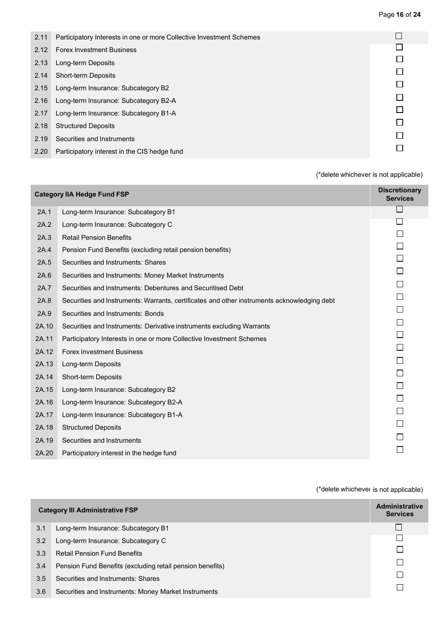| 2.11 | Participatory Interests in one or more Collective Investment Schemes |  |
|------|----------------------------------------------------------------------|--|
| 2.12 | <b>Forex Investment Business</b>                                     |  |
| 2.13 | Long-term Deposits                                                   |  |
| 2.14 | <b>Short-term Deposits</b>                                           |  |
| 2.15 | Long-term Insurance: Subcategory B2                                  |  |
| 2.16 | Long-term Insurance: Subcategory B2-A                                |  |
| 2.17 | Long-term Insurance: Subcategory B1-A                                |  |
| 2.18 | <b>Structured Deposits</b>                                           |  |
|      |                                                                      |  |
| 2.19 | Securities and Instruments                                           |  |
| 2.20 | Participatory interest in the CIS hedge fund                         |  |

| <b>Category IIA Hedge Fund FSP</b> |                                                                                             | <b>Discretionary</b><br><b>Services</b> |
|------------------------------------|---------------------------------------------------------------------------------------------|-----------------------------------------|
| 2A.1                               | Long-term Insurance: Subcategory B1                                                         | $\mathsf{L}$                            |
| 2A.2                               | Long-term Insurance: Subcategory C                                                          | $\perp$                                 |
| 2A.3                               | <b>Retail Pension Benefits</b>                                                              |                                         |
| 2A.4                               | Pension Fund Benefits (excluding retail pension benefits)                                   | П                                       |
| 2A.5                               | Securities and Instruments: Shares                                                          |                                         |
| 2A.6                               | Securities and Instruments: Money Market Instruments                                        | П                                       |
| 2A.7                               | Securities and Instruments: Debentures and Securitised Debt                                 |                                         |
| 2A.8                               | Securities and Instruments: Warrants, certificates and other instruments acknowledging debt | П                                       |
| 2A.9                               | Securities and Instruments: Bonds                                                           |                                         |
| 2A.10                              | Securities and Instruments: Derivative instruments excluding Warrants                       | П                                       |
| 2A.11                              | Participatory Interests in one or more Collective Investment Schemes                        | П                                       |
| 2A.12                              | <b>Forex Investment Business</b>                                                            |                                         |
| 2A.13                              | Long-term Deposits                                                                          | П                                       |
| 2A.14                              | Short-term Deposits                                                                         | П                                       |
| 2A.15                              | Long-term Insurance: Subcategory B2                                                         | П                                       |
| 2A.16                              | Long-term Insurance: Subcategory B2-A                                                       |                                         |
| 2A.17                              | Long-term Insurance: Subcategory B1-A                                                       |                                         |
| 2A.18                              | <b>Structured Deposits</b>                                                                  |                                         |
| 2A.19                              | Securities and Instruments                                                                  |                                         |
| 2A.20                              | Participatory interest in the hedge fund                                                    |                                         |

|     | <b>Category III Administrative FSP</b>                    | <b>Administrative</b><br><b>Services</b> |
|-----|-----------------------------------------------------------|------------------------------------------|
| 3.1 | Long-term Insurance: Subcategory B1                       |                                          |
| 3.2 | Long-term Insurance: Subcategory C                        |                                          |
| 3.3 | <b>Retail Pension Fund Benefits</b>                       |                                          |
| 3.4 | Pension Fund Benefits (excluding retail pension benefits) |                                          |
| 3.5 | Securities and Instruments: Shares                        |                                          |
| 3.6 | Securities and Instruments: Money Market Instruments      |                                          |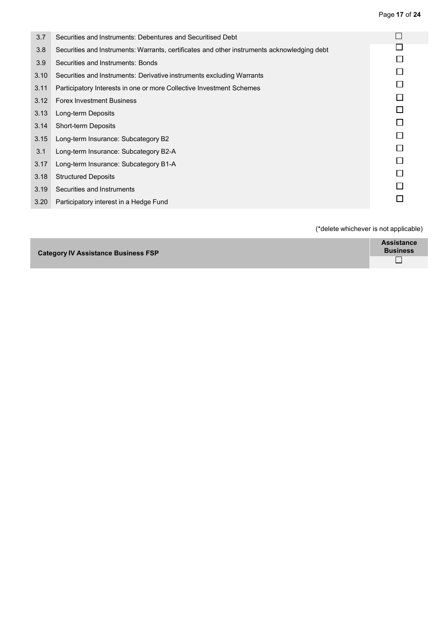Page **17** of **24**

| 3.7  | Securities and Instruments: Debentures and Securitised Debt                                 |  |
|------|---------------------------------------------------------------------------------------------|--|
| 3.8  | Securities and Instruments: Warrants, certificates and other instruments acknowledging debt |  |
| 3.9  | Securities and Instruments: Bonds                                                           |  |
| 3.10 | Securities and Instruments: Derivative instruments excluding Warrants                       |  |
| 3.11 | Participatory Interests in one or more Collective Investment Schemes                        |  |
| 3.12 | <b>Forex Investment Business</b>                                                            |  |
| 3.13 | Long-term Deposits                                                                          |  |
| 3.14 | <b>Short-term Deposits</b>                                                                  |  |
| 3.15 | Long-term Insurance: Subcategory B2                                                         |  |
| 3.1  | Long-term Insurance: Subcategory B2-A                                                       |  |
| 3.17 | Long-term Insurance: Subcategory B1-A                                                       |  |
| 3.18 | <b>Structured Deposits</b>                                                                  |  |
| 3.19 | Securities and Instruments                                                                  |  |
| 3.20 | Participatory interest in a Hedge Fund                                                      |  |
|      |                                                                                             |  |

| <b>Category IV Assistance Business FSP</b> | <b>Assistance</b><br><b>Business</b> |
|--------------------------------------------|--------------------------------------|
|                                            | ┍<br>$\overline{\phantom{a}}$        |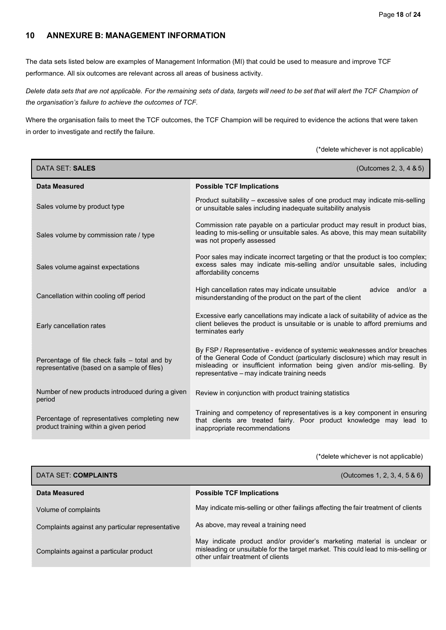### <span id="page-19-0"></span>**10 ANNEXURE B: MANAGEMENT INFORMATION**

The data sets listed below are examples of Management Information (MI) that could be used to measure and improve TCF performance. All six outcomes are relevant across all areas of business activity.

Delete data sets that are not applicable. For the remaining sets of data, targets will need to be set that will alert the TCF Champion of *the organisation's failure to achieve the outcomes of TCF.*

Where the organisation fails to meet the TCF outcomes, the TCF Champion will be required to evidence the actions that were taken in order to investigate and rectify the failure.

(\*delete whichever is not applicable)

| DATA SET: SALES                                                                              | (Outcomes 2, 3, 4 & 5)                                                                                                                                                                                                                                                                 |
|----------------------------------------------------------------------------------------------|----------------------------------------------------------------------------------------------------------------------------------------------------------------------------------------------------------------------------------------------------------------------------------------|
| <b>Data Measured</b>                                                                         | <b>Possible TCF Implications</b>                                                                                                                                                                                                                                                       |
| Sales volume by product type                                                                 | Product suitability – excessive sales of one product may indicate mis-selling<br>or unsuitable sales including inadequate suitability analysis                                                                                                                                         |
| Sales volume by commission rate / type                                                       | Commission rate payable on a particular product may result in product bias,<br>leading to mis-selling or unsuitable sales. As above, this may mean suitability<br>was not properly assessed                                                                                            |
| Sales volume against expectations                                                            | Poor sales may indicate incorrect targeting or that the product is too complex;<br>excess sales may indicate mis-selling and/or unsuitable sales, including<br>affordability concerns                                                                                                  |
| Cancellation within cooling off period                                                       | High cancellation rates may indicate unsuitable<br>advice and/or a<br>misunderstanding of the product on the part of the client                                                                                                                                                        |
| Early cancellation rates                                                                     | Excessive early cancellations may indicate a lack of suitability of advice as the<br>client believes the product is unsuitable or is unable to afford premiums and<br>terminates early                                                                                                 |
| Percentage of file check fails – total and by<br>representative (based on a sample of files) | By FSP / Representative - evidence of systemic weaknesses and/or breaches<br>of the General Code of Conduct (particularly disclosure) which may result in<br>misleading or insufficient information being given and/or mis-selling. By<br>representative - may indicate training needs |
| Number of new products introduced during a given<br>period                                   | Review in conjunction with product training statistics                                                                                                                                                                                                                                 |
| Percentage of representatives completing new<br>product training within a given period       | Training and competency of representatives is a key component in ensuring<br>that clients are treated fairly. Poor product knowledge may lead to<br>inappropriate recommendations                                                                                                      |

| DATA SET: COMPLAINTS                             | (Outcomes 1, 2, 3, 4, 5 & 6)                                                                                                                                                                      |
|--------------------------------------------------|---------------------------------------------------------------------------------------------------------------------------------------------------------------------------------------------------|
| Data Measured                                    | <b>Possible TCF Implications</b>                                                                                                                                                                  |
| Volume of complaints                             | May indicate mis-selling or other failings affecting the fair treatment of clients                                                                                                                |
| Complaints against any particular representative | As above, may reveal a training need                                                                                                                                                              |
| Complaints against a particular product          | May indicate product and/or provider's marketing material is unclear or<br>misleading or unsuitable for the target market. This could lead to mis-selling or<br>other unfair treatment of clients |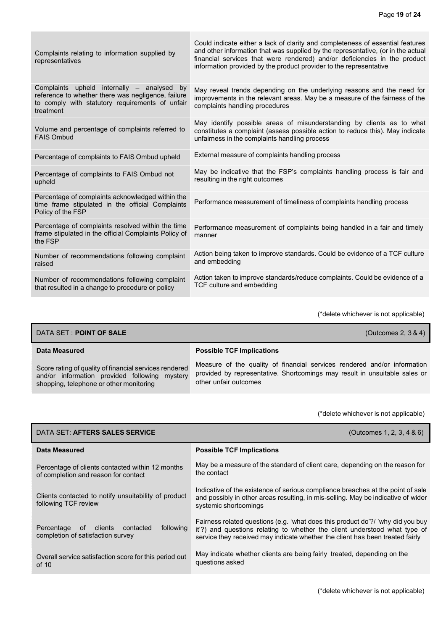| Complaints relating to information supplied by<br>representatives                                                                                                   | Could indicate either a lack of clarity and completeness of essential features<br>and other information that was supplied by the representative, (or in the actual<br>financial services that were rendered) and/or deficiencies in the product<br>information provided by the product provider to the representative |
|---------------------------------------------------------------------------------------------------------------------------------------------------------------------|-----------------------------------------------------------------------------------------------------------------------------------------------------------------------------------------------------------------------------------------------------------------------------------------------------------------------|
| Complaints upheld internally - analysed<br>by<br>reference to whether there was negligence, failure<br>to comply with statutory requirements of unfair<br>treatment | May reveal trends depending on the underlying reasons and the need for<br>improvements in the relevant areas. May be a measure of the fairness of the<br>complaints handling procedures                                                                                                                               |
| Volume and percentage of complaints referred to<br><b>FAIS Ombud</b>                                                                                                | May identify possible areas of misunderstanding by clients as to what<br>constitutes a complaint (assess possible action to reduce this). May indicate<br>unfairness in the complaints handling process                                                                                                               |
| Percentage of complaints to FAIS Ombud upheld                                                                                                                       | External measure of complaints handling process                                                                                                                                                                                                                                                                       |
| Percentage of complaints to FAIS Ombud not<br>upheld                                                                                                                | May be indicative that the FSP's complaints handling process is fair and<br>resulting in the right outcomes                                                                                                                                                                                                           |
| Percentage of complaints acknowledged within the<br>time frame stipulated in the official Complaints<br>Policy of the FSP                                           | Performance measurement of timeliness of complaints handling process                                                                                                                                                                                                                                                  |
| Percentage of complaints resolved within the time<br>frame stipulated in the official Complaints Policy of<br>the FSP                                               | Performance measurement of complaints being handled in a fair and timely<br>manner                                                                                                                                                                                                                                    |
| Number of recommendations following complaint<br>raised                                                                                                             | Action being taken to improve standards. Could be evidence of a TCF culture<br>and embedding                                                                                                                                                                                                                          |
| Number of recommendations following complaint<br>that resulted in a change to procedure or policy                                                                   | Action taken to improve standards/reduce complaints. Could be evidence of a<br>TCF culture and embedding                                                                                                                                                                                                              |

| DATA SET : <b>POINT OF SALE</b><br>(Outcomes 2, $3 & 4$ )                                                                                          |                                                                                                                                                                                 |  |
|----------------------------------------------------------------------------------------------------------------------------------------------------|---------------------------------------------------------------------------------------------------------------------------------------------------------------------------------|--|
| Data Measured                                                                                                                                      | <b>Possible TCF Implications</b>                                                                                                                                                |  |
| Score rating of quality of financial services rendered<br>and/or information provided following mystery<br>shopping, telephone or other monitoring | Measure of the quality of financial services rendered and/or information<br>provided by representative. Shortcomings may result in unsuitable sales or<br>other unfair outcomes |  |

| DATA SET: AFTERS SALES SERVICE                                                              | (Outcomes 1, 2, 3, 4 & 6)                                                                                                                                                                                                                      |
|---------------------------------------------------------------------------------------------|------------------------------------------------------------------------------------------------------------------------------------------------------------------------------------------------------------------------------------------------|
| Data Measured                                                                               | <b>Possible TCF Implications</b>                                                                                                                                                                                                               |
| Percentage of clients contacted within 12 months<br>of completion and reason for contact    | May be a measure of the standard of client care, depending on the reason for<br>the contact                                                                                                                                                    |
| Clients contacted to notify unsuitability of product<br>following TCF review                | Indicative of the existence of serious compliance breaches at the point of sale<br>and possibly in other areas resulting, in mis-selling. May be indicative of wider<br>systemic shortcomings                                                  |
| following<br>clients<br>Percentage<br>contacted<br>of.<br>completion of satisfaction survey | Fairness related questions (e.g. 'what does this product do'?/ 'why did you buy<br>it'?) and questions relating to whether the client understood what type of<br>service they received may indicate whether the client has been treated fairly |
| Overall service satisfaction score for this period out<br>of $10$                           | May indicate whether clients are being fairly treated, depending on the<br>questions asked                                                                                                                                                     |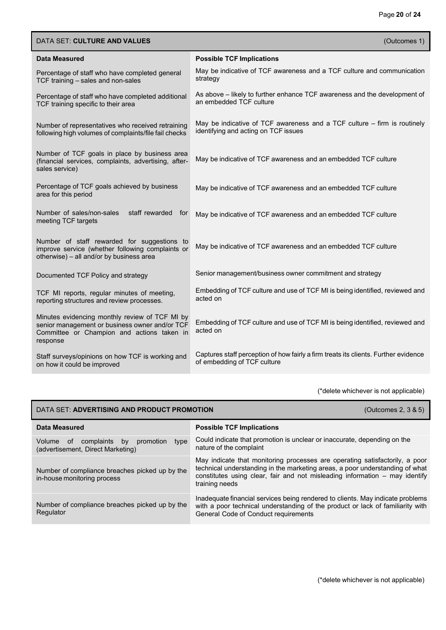| <b>DATA SET: CULTURE AND VALUES</b>                                                                                                                        | (Outcomes 1)                                                                                                       |
|------------------------------------------------------------------------------------------------------------------------------------------------------------|--------------------------------------------------------------------------------------------------------------------|
| Data Measured                                                                                                                                              | <b>Possible TCF Implications</b>                                                                                   |
| Percentage of staff who have completed general<br>TCF training - sales and non-sales                                                                       | May be indicative of TCF awareness and a TCF culture and communication<br>strategy                                 |
| Percentage of staff who have completed additional<br>TCF training specific to their area                                                                   | As above - likely to further enhance TCF awareness and the development of<br>an embedded TCF culture               |
| Number of representatives who received retraining<br>following high volumes of complaints/file fail checks                                                 | May be indicative of TCF awareness and a TCF culture - firm is routinely<br>identifying and acting on TCF issues   |
| Number of TCF goals in place by business area<br>(financial services, complaints, advertising, after-<br>sales service)                                    | May be indicative of TCF awareness and an embedded TCF culture                                                     |
| Percentage of TCF goals achieved by business<br>area for this period                                                                                       | May be indicative of TCF awareness and an embedded TCF culture                                                     |
| Number of sales/non-sales<br>staff rewarded for<br>meeting TCF targets                                                                                     | May be indicative of TCF awareness and an embedded TCF culture                                                     |
| Number of staff rewarded for suggestions to<br>improve service (whether following complaints or<br>otherwise) - all and/or by business area                | May be indicative of TCF awareness and an embedded TCF culture                                                     |
| Documented TCF Policy and strategy                                                                                                                         | Senior management/business owner commitment and strategy                                                           |
| TCF MI reports, regular minutes of meeting,<br>reporting structures and review processes.                                                                  | Embedding of TCF culture and use of TCF MI is being identified, reviewed and<br>acted on                           |
| Minutes evidencing monthly review of TCF MI by<br>senior management or business owner and/or TCF<br>Committee or Champion and actions taken in<br>response | Embedding of TCF culture and use of TCF MI is being identified, reviewed and<br>acted on                           |
| Staff surveys/opinions on how TCF is working and<br>on how it could be improved                                                                            | Captures staff perception of how fairly a firm treats its clients. Further evidence<br>of embedding of TCF culture |

| DATA SET: ADVERTISING AND PRODUCT PROMOTION                                          | (Outcomes 2, 3 & 5)                                                                                                                                                                                                                                          |
|--------------------------------------------------------------------------------------|--------------------------------------------------------------------------------------------------------------------------------------------------------------------------------------------------------------------------------------------------------------|
| Data Measured                                                                        | <b>Possible TCF Implications</b>                                                                                                                                                                                                                             |
| Volume of complaints<br>promotion<br>type<br>by<br>(advertisement, Direct Marketing) | Could indicate that promotion is unclear or inaccurate, depending on the<br>nature of the complaint                                                                                                                                                          |
| Number of compliance breaches picked up by the<br>in-house monitoring process        | May indicate that monitoring processes are operating satisfactorily, a poor<br>technical understanding in the marketing areas, a poor understanding of what<br>constitutes using clear, fair and not misleading information – may identify<br>training needs |
| Number of compliance breaches picked up by the<br>Regulator                          | Inadequate financial services being rendered to clients. May indicate problems<br>with a poor technical understanding of the product or lack of familiarity with<br>General Code of Conduct requirements                                                     |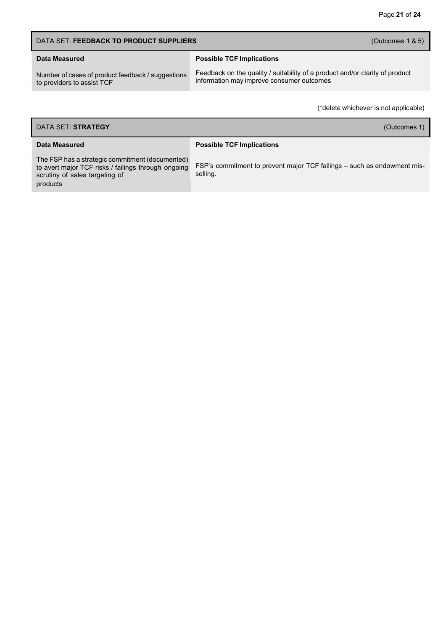| DATA SET: FEEDBACK TO PRODUCT SUPPLIERS                                         | (Outcomes $1 & 5$ )                                                                                                       |
|---------------------------------------------------------------------------------|---------------------------------------------------------------------------------------------------------------------------|
| Data Measured                                                                   | <b>Possible TCF Implications</b>                                                                                          |
| Number of cases of product feedback / suggestions<br>to providers to assist TCF | Feedback on the quality / suitability of a product and/or clarity of product<br>information may improve consumer outcomes |

| DATA SET: STRATEGY<br>(Outcomes 1)                                                                                                                   |                                                                                     |
|------------------------------------------------------------------------------------------------------------------------------------------------------|-------------------------------------------------------------------------------------|
| Data Measured                                                                                                                                        | <b>Possible TCF Implications</b>                                                    |
| The FSP has a strategic commitment (documented)<br>to avert major TCF risks / failings through ongoing<br>scrutiny of sales targeting of<br>products | FSP's commitment to prevent major TCF failings – such as endowment mis-<br>selling. |